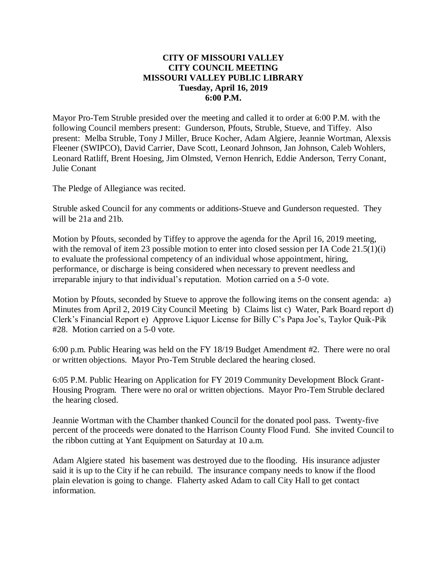## **CITY OF MISSOURI VALLEY CITY COUNCIL MEETING MISSOURI VALLEY PUBLIC LIBRARY Tuesday, April 16, 2019 6:00 P.M.**

Mayor Pro-Tem Struble presided over the meeting and called it to order at 6:00 P.M. with the following Council members present: Gunderson, Pfouts, Struble, Stueve, and Tiffey. Also present: Melba Struble, Tony J Miller, Bruce Kocher, Adam Algiere, Jeannie Wortman, Alexsis Fleener (SWIPCO), David Carrier, Dave Scott, Leonard Johnson, Jan Johnson, Caleb Wohlers, Leonard Ratliff, Brent Hoesing, Jim Olmsted, Vernon Henrich, Eddie Anderson, Terry Conant, Julie Conant

The Pledge of Allegiance was recited.

Struble asked Council for any comments or additions-Stueve and Gunderson requested. They will be 21a and 21b.

Motion by Pfouts, seconded by Tiffey to approve the agenda for the April 16, 2019 meeting, with the removal of item 23 possible motion to enter into closed session per IA Code 21.5(1)(i) to evaluate the professional competency of an individual whose appointment, hiring, performance, or discharge is being considered when necessary to prevent needless and irreparable injury to that individual's reputation. Motion carried on a 5-0 vote.

Motion by Pfouts, seconded by Stueve to approve the following items on the consent agenda: a) Minutes from April 2, 2019 City Council Meeting b) Claims list c) Water, Park Board report d) Clerk's Financial Report e) Approve Liquor License for Billy C's Papa Joe's, Taylor Quik-Pik #28. Motion carried on a 5-0 vote.

6:00 p.m. Public Hearing was held on the FY 18/19 Budget Amendment #2. There were no oral or written objections. Mayor Pro-Tem Struble declared the hearing closed.

6:05 P.M. Public Hearing on Application for FY 2019 Community Development Block Grant-Housing Program. There were no oral or written objections. Mayor Pro-Tem Struble declared the hearing closed.

Jeannie Wortman with the Chamber thanked Council for the donated pool pass. Twenty-five percent of the proceeds were donated to the Harrison County Flood Fund. She invited Council to the ribbon cutting at Yant Equipment on Saturday at 10 a.m.

Adam Algiere stated his basement was destroyed due to the flooding. His insurance adjuster said it is up to the City if he can rebuild. The insurance company needs to know if the flood plain elevation is going to change. Flaherty asked Adam to call City Hall to get contact information.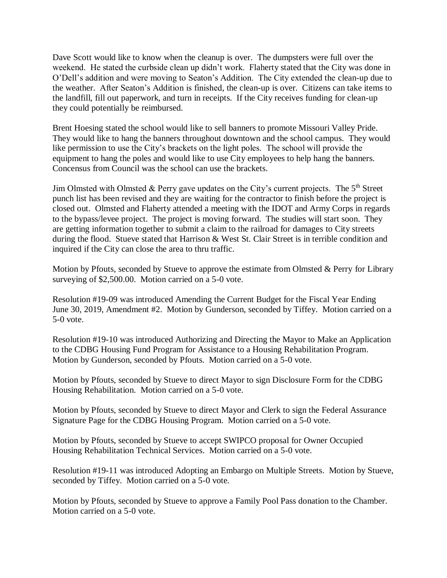Dave Scott would like to know when the cleanup is over. The dumpsters were full over the weekend. He stated the curbside clean up didn't work. Flaherty stated that the City was done in O'Dell's addition and were moving to Seaton's Addition. The City extended the clean-up due to the weather. After Seaton's Addition is finished, the clean-up is over. Citizens can take items to the landfill, fill out paperwork, and turn in receipts. If the City receives funding for clean-up they could potentially be reimbursed.

Brent Hoesing stated the school would like to sell banners to promote Missouri Valley Pride. They would like to hang the banners throughout downtown and the school campus. They would like permission to use the City's brackets on the light poles. The school will provide the equipment to hang the poles and would like to use City employees to help hang the banners. Concensus from Council was the school can use the brackets.

Jim Olmsted with Olmsted & Perry gave updates on the City's current projects. The  $5<sup>th</sup>$  Street punch list has been revised and they are waiting for the contractor to finish before the project is closed out. Olmsted and Flaherty attended a meeting with the IDOT and Army Corps in regards to the bypass/levee project. The project is moving forward. The studies will start soon. They are getting information together to submit a claim to the railroad for damages to City streets during the flood. Stueve stated that Harrison & West St. Clair Street is in terrible condition and inquired if the City can close the area to thru traffic.

Motion by Pfouts, seconded by Stueve to approve the estimate from Olmsted & Perry for Library surveying of \$2,500.00. Motion carried on a 5-0 vote.

Resolution #19-09 was introduced Amending the Current Budget for the Fiscal Year Ending June 30, 2019, Amendment #2. Motion by Gunderson, seconded by Tiffey. Motion carried on a 5-0 vote.

Resolution #19-10 was introduced Authorizing and Directing the Mayor to Make an Application to the CDBG Housing Fund Program for Assistance to a Housing Rehabilitation Program. Motion by Gunderson, seconded by Pfouts. Motion carried on a 5-0 vote.

Motion by Pfouts, seconded by Stueve to direct Mayor to sign Disclosure Form for the CDBG Housing Rehabilitation. Motion carried on a 5-0 vote.

Motion by Pfouts, seconded by Stueve to direct Mayor and Clerk to sign the Federal Assurance Signature Page for the CDBG Housing Program. Motion carried on a 5-0 vote.

Motion by Pfouts, seconded by Stueve to accept SWIPCO proposal for Owner Occupied Housing Rehabilitation Technical Services. Motion carried on a 5-0 vote.

Resolution #19-11 was introduced Adopting an Embargo on Multiple Streets. Motion by Stueve, seconded by Tiffey. Motion carried on a 5-0 vote.

Motion by Pfouts, seconded by Stueve to approve a Family Pool Pass donation to the Chamber. Motion carried on a 5-0 vote.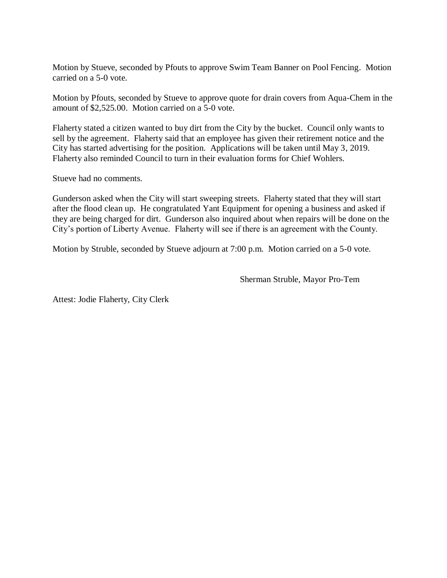Motion by Stueve, seconded by Pfouts to approve Swim Team Banner on Pool Fencing. Motion carried on a 5-0 vote.

Motion by Pfouts, seconded by Stueve to approve quote for drain covers from Aqua-Chem in the amount of \$2,525.00. Motion carried on a 5-0 vote.

Flaherty stated a citizen wanted to buy dirt from the City by the bucket. Council only wants to sell by the agreement. Flaherty said that an employee has given their retirement notice and the City has started advertising for the position. Applications will be taken until May 3, 2019. Flaherty also reminded Council to turn in their evaluation forms for Chief Wohlers.

Stueve had no comments.

Gunderson asked when the City will start sweeping streets. Flaherty stated that they will start after the flood clean up. He congratulated Yant Equipment for opening a business and asked if they are being charged for dirt. Gunderson also inquired about when repairs will be done on the City's portion of Liberty Avenue. Flaherty will see if there is an agreement with the County.

Motion by Struble, seconded by Stueve adjourn at 7:00 p.m. Motion carried on a 5-0 vote.

Sherman Struble, Mayor Pro-Tem

Attest: Jodie Flaherty, City Clerk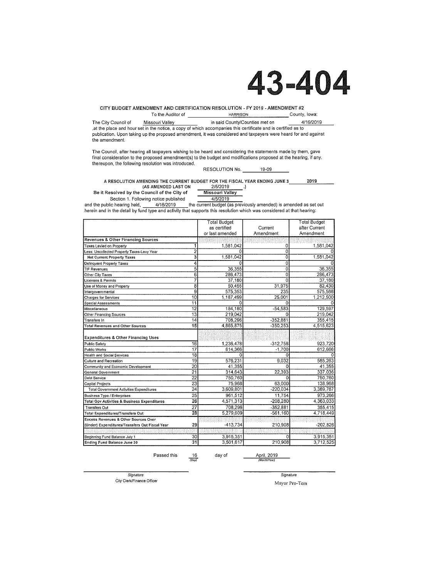# 43-404

CITY BUDGET AMENDMENT AND CERTIFICATION RESOLUTION - FY 2019 - AMENDMENT #2

To the Auditor of County, Iowa: **HARRISON** 

4/16/2019 The City Council of Missouri Valley in said County/Counties met on at the place and hour set in the notice, a copy of which accompanies this certificate and is certified as to publication. Upon taking up the proposed amendment, it was considered and taxpayers were heard for and against the amendment.

The Council, after hearing all taxpayers wishing to be heard and considering the statements made by them, gave final consideration to the proposed amendment(s) to the budget and modifications proposed at the hearing, if any. thereupon, the following resolution was introduced.

RESOLUTION No. 19-09

A RESOLUTION AMENDING THE CURRENT BUDGET FOR THE FISCAL YEAR ENDING JUNE 3 2019 (AS AMENDED LAST ON 2/5/2019  $\mathcal{L}$ 

Be it Resolved by the Council of the City of

**Missouri Valley** Section 1. Following notice published 4/5/2019

4/16/2019 the current budget (as previously amended) is amended as set out and the public hearing held, herein and in the detail by fund type and activity that supports this resolution which was considered at that hearing:

|                                                         |                 | <b>Total Budget</b> |                | <b>Total Budget</b> |
|---------------------------------------------------------|-----------------|---------------------|----------------|---------------------|
|                                                         |                 | as certified        | Current        | after Current       |
|                                                         |                 | or last amended     | Amendment      | Amendment           |
| Revenues & Other Financing Sources                      |                 |                     |                |                     |
| Taxes Levied on Property                                |                 | 1,581,042           | 0              | 1,581,042           |
| Less: Uncollected Property Taxes-Levy Year              | 2               |                     | 0              |                     |
| <b>Net Current Property Taxes</b>                       | 3               | 1,581,042           | ō              | 1,581,042           |
| Delinquent Property Taxes                               | 4               | 0                   | $\overline{0}$ |                     |
| <b>TIF Revenues</b>                                     | $\overline{5}$  | 36,355              | $\overline{0}$ | 36,355              |
| Other City Taxes                                        | $\overline{6}$  | 286,473             | ö              | 286,473             |
| Licenses & Permits                                      | 7               | 37,180              | $\overline{0}$ | 37,180              |
| Use of Money and Property                               | 8               | 50,455              | 31,975         | 82,430              |
| Intergovernmental                                       | 9               | 575,353             | 235            | 575,588             |
| <b>Charges for Services</b>                             | $\overline{10}$ | 1,187,499           | 25.001         | 1,212,500           |
| Special Assessments                                     | $\overline{11}$ | G                   | 0              |                     |
| Miscellaneous                                           | $\overline{12}$ | 184,180             | $-54.583$      | 129,597             |
| Other Financing Sources                                 | $\overline{13}$ | 219,042             | o              | 219,042             |
| Transfers In                                            | 14              | 708,296             | $-352,881$     | 355,415             |
| <b>Total Revenues and Other Sources</b>                 | $\overline{15}$ | 4,865,875           | $-350,253$     | 4,515,623           |
| <b>Expenditures &amp; Other Financing Uses</b>          |                 |                     |                |                     |
| Public Safety                                           | 16              | 1,236,478           | $-312,758$     | 923.720             |
| Public Works                                            | $\overline{17}$ | 614,366             | $-1,700$       | 612,666             |
| Health and Social Services                              | $\overline{18}$ | <sup>0</sup>        | $\Omega$       |                     |
| Culture and Recreation                                  | 19              | 576.231             | 9.032          | 585.263             |
| Community and Economic Development                      | 20              | 41,355              | 0              | 41,355              |
| General Government                                      | $\overline{21}$ | 314,643             | 22,393         | 337,036             |
| Debt Service                                            | $\overline{22}$ | 750,760             | $\Omega$       | 750,760             |
| Capital Projects                                        | $\overline{23}$ | 75.968              | 63.000         | 138,968             |
| <b>Total Government Activities Expenditures</b>         | $\overline{24}$ | 3,609,801           | $-220.034$     | 3,389,767           |
| Business Type / Enterprises                             | 25              | 961,512             | 11.754         | 973.266             |
| <b>Total Gov Activities &amp; Business Expenditures</b> | 26              | 4,571,313           | $-208,280$     | 4,363,033           |
| <b>Transfers Out</b>                                    | $\overline{27}$ | 708,296             | $-352,881$     | 355,415             |
| Total Expenditures/Transfers Out                        | 28              | 5,279,609           | $-561,160$     | 4,718,449           |
| <b>Excess Revenues &amp; Other Sources Over</b>         |                 |                     |                |                     |
| (Under) Expenditures/Transfers Out Fiscal Year          | 29              | $-413,734$          | 210,908        | $-202,826$          |
|                                                         |                 |                     |                |                     |
| Beginning Fund Balance July 1                           | 30              | 3.915.351           | 0              | 3,915,351           |
| Ending Fund Balance June 30                             | $\overline{31}$ | 3,501,617           | 210.908        | 3,712,525           |

April, 2019 Passed this  $\frac{16}{(Day)}$ day of

Signature City Clerk/Finance Officer

Signature Mayor Pro-Tem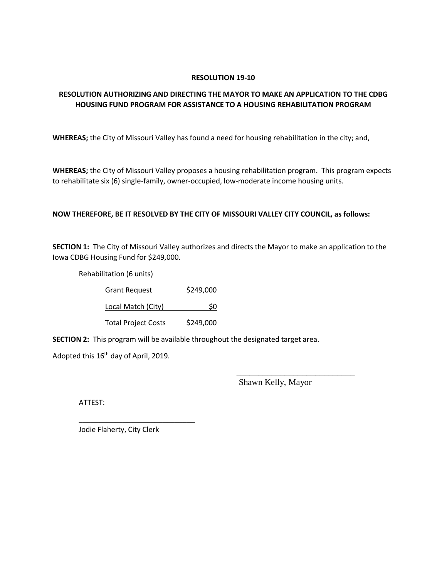## **RESOLUTION 19-10**

## **RESOLUTION AUTHORIZING AND DIRECTING THE MAYOR TO MAKE AN APPLICATION TO THE CDBG HOUSING FUND PROGRAM FOR ASSISTANCE TO A HOUSING REHABILITATION PROGRAM**

**WHEREAS;** the City of Missouri Valley has found a need for housing rehabilitation in the city; and,

**WHEREAS;** the City of Missouri Valley proposes a housing rehabilitation program. This program expects to rehabilitate six (6) single-family, owner-occupied, low-moderate income housing units.

## **NOW THEREFORE, BE IT RESOLVED BY THE CITY OF MISSOURI VALLEY CITY COUNCIL, as follows:**

**SECTION 1:** The City of Missouri Valley authorizes and directs the Mayor to make an application to the Iowa CDBG Housing Fund for \$249,000.

Rehabilitation (6 units)

| <b>Grant Request</b>       | \$249,000 |
|----------------------------|-----------|
| Local Match (City)         | S0        |
| <b>Total Project Costs</b> | \$249,000 |

**SECTION 2:** This program will be available throughout the designated target area.

Adopted this 16<sup>th</sup> day of April, 2019.

Shawn Kelly, Mayor

\_\_\_\_\_\_\_\_\_\_\_\_\_\_\_\_\_\_\_\_\_\_\_\_\_\_\_

ATTEST:

Jodie Flaherty, City Clerk

\_\_\_\_\_\_\_\_\_\_\_\_\_\_\_\_\_\_\_\_\_\_\_\_\_\_\_\_\_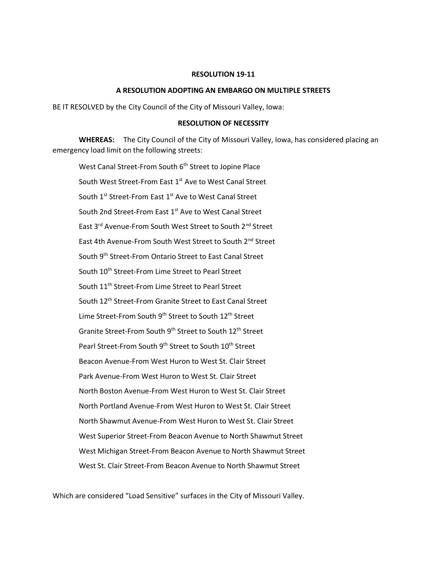#### **RESOLUTION 19-11**

#### **A RESOLUTION ADOPTING AN EMBARGO ON MULTIPLE STREETS**

BE IT RESOLVED by the City Council of the City of Missouri Valley, Iowa:

#### **RESOLUTION OF NECESSITY**

**WHEREAS:** The City Council of the City of Missouri Valley, Iowa, has considered placing an emergency load limit on the following streets:

West Canal Street-From South 6<sup>th</sup> Street to Jopine Place South West Street-From East 1<sup>st</sup> Ave to West Canal Street South 1<sup>st</sup> Street-From East 1<sup>st</sup> Ave to West Canal Street South 2nd Street-From East 1<sup>st</sup> Ave to West Canal Street East 3<sup>rd</sup> Avenue-From South West Street to South 2<sup>nd</sup> Street East 4th Avenue-From South West Street to South 2<sup>nd</sup> Street South 9<sup>th</sup> Street-From Ontario Street to East Canal Street South 10<sup>th</sup> Street-From Lime Street to Pearl Street South 11<sup>th</sup> Street-From Lime Street to Pearl Street South 12<sup>th</sup> Street-From Granite Street to East Canal Street Lime Street-From South 9<sup>th</sup> Street to South 12<sup>th</sup> Street Granite Street-From South 9<sup>th</sup> Street to South 12<sup>th</sup> Street Pearl Street-From South 9<sup>th</sup> Street to South 10<sup>th</sup> Street Beacon Avenue-From West Huron to West St. Clair Street Park Avenue-From West Huron to West St. Clair Street North Boston Avenue-From West Huron to West St. Clair Street North Portland Avenue-From West Huron to West St. Clair Street North Shawmut Avenue-From West Huron to West St. Clair Street West Superior Street-From Beacon Avenue to North Shawmut Street West Michigan Street-From Beacon Avenue to North Shawmut Street West St. Clair Street-From Beacon Avenue to North Shawmut Street

Which are considered "Load Sensitive" surfaces in the City of Missouri Valley.